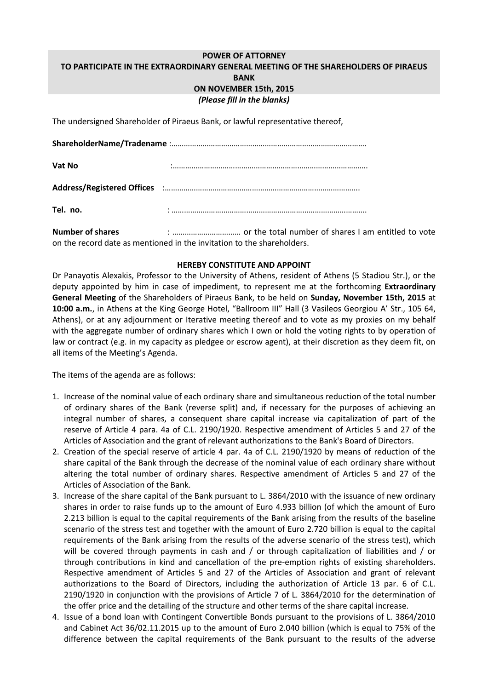## **POWER OF ATTORNEY TO PARTICIPATE IN THE EXTRAORDINARY GENERAL MEETING OF THE SHAREHOLDERS OF PIRAEUS BANK ON NOVEMBER 15th, 2015** *(Please fill in the blanks)*

The undersigned Shareholder of Piraeus Bank, or lawful representative thereof,

| Vat No   |  |  |
|----------|--|--|
|          |  |  |
| Tel. no. |  |  |

**Number of shares** : …………………………… or the total number of shares I am entitled to vote on the record date as mentioned in the invitation to the shareholders.

## **HEREBY CONSTITUTE AND APPOINT**

Dr Panayotis Alexakis, Professor to the University of Athens, resident of Athens (5 Stadiou Str.), or the deputy appointed by him in case of impediment, to represent me at the forthcoming **Extraordinary General Meeting** of the Shareholders of Piraeus Bank, to be held on **Sunday, November 15th, 2015** at **10:00 a.m.**, in Athens at the King George Hotel, "Ballroom III" Hall (3 Vasileos Georgiou A' Str., 105 64, Athens), or at any adjournment or Iterative meeting thereof and to vote as my proxies on my behalf with the aggregate number of ordinary shares which I own or hold the voting rights to by operation of law or contract (e.g. in my capacity as pledgee or escrow agent), at their discretion as they deem fit, on all items of the Meeting's Agenda.

The items of the agenda are as follows:

- 1. Increase of the nominal value of each ordinary share and simultaneous reduction of the total number of ordinary shares of the Bank (reverse split) and, if necessary for the purposes of achieving an integral number of shares, a consequent share capital increase via capitalization of part of the reserve of Article 4 para. 4a of C.L. 2190/1920. Respective amendment of Articles 5 and 27 of the Articles of Association and the grant of relevant authorizations to the Bank's Board of Directors.
- 2. Creation of the special reserve of article 4 par. 4a of C.L. 2190/1920 by means of reduction of the share capital of the Bank through the decrease of the nominal value of each ordinary share without altering the total number of ordinary shares. Respective amendment of Articles 5 and 27 of the Articles of Association of the Bank.
- 3. Increase of the share capital of the Bank pursuant to L. 3864/2010 with the issuance of new ordinary shares in order to raise funds up to the amount of Euro 4.933 billion (of which the amount of Euro 2.213 billion is equal to the capital requirements of the Bank arising from the results of the baseline scenario of the stress test and together with the amount of Euro 2.720 billion is equal to the capital requirements of the Bank arising from the results of the adverse scenario of the stress test), which will be covered through payments in cash and / or through capitalization of liabilities and / or through contributions in kind and cancellation of the pre-emption rights of existing shareholders. Respective amendment of Articles 5 and 27 of the Articles of Association and grant of relevant authorizations to the Board of Directors, including the authorization of Article 13 par. 6 of C.L. 2190/1920 in conjunction with the provisions of Article 7 of L. 3864/2010 for the determination of the offer price and the detailing of the structure and other terms of the share capital increase.
- 4. Issue of a bond loan with Contingent Convertible Bonds pursuant to the provisions of L. 3864/2010 and Cabinet Act 36/02.11.2015 up to the amount of Euro 2.040 billion (which is equal to 75% of the difference between the capital requirements of the Bank pursuant to the results of the adverse